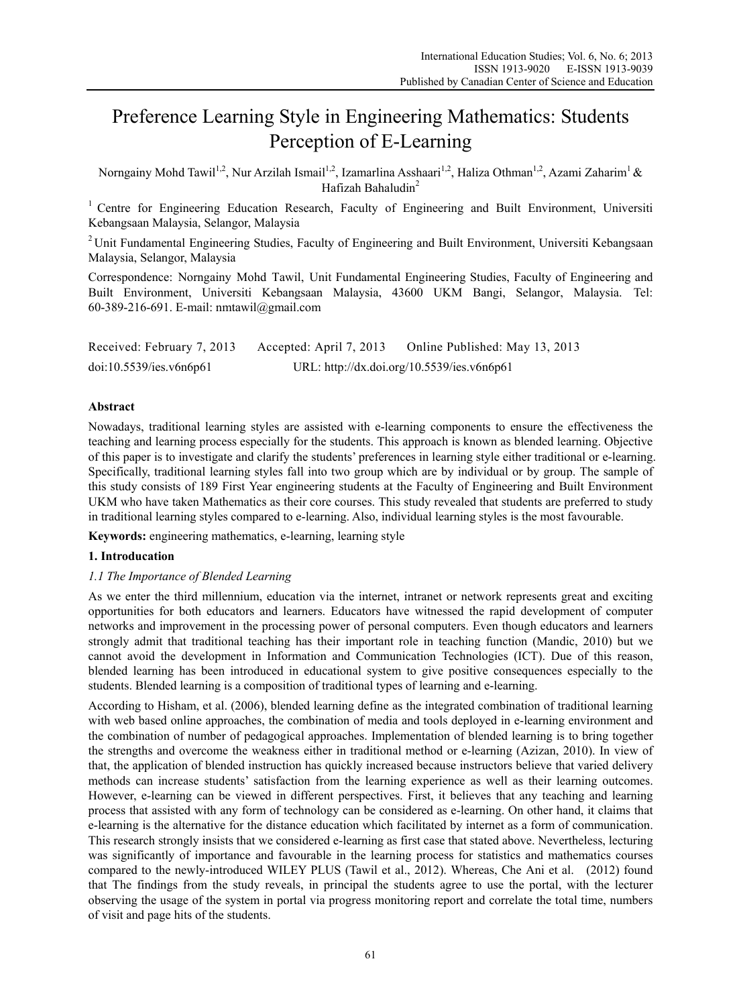# Preference Learning Style in Engineering Mathematics: Students Perception of E-Learning

Norngainy Mohd Tawil<sup>1,2</sup>, Nur Arzilah Ismail<sup>1,2</sup>, Izamarlina Asshaari<sup>1,2</sup>, Haliza Othman<sup>1,2</sup>, Azami Zaharim<sup>1</sup> & Hafizah Bahaludin<sup>2</sup>

<sup>1</sup> Centre for Engineering Education Research, Faculty of Engineering and Built Environment, Universiti Kebangsaan Malaysia, Selangor, Malaysia

<sup>2</sup> Unit Fundamental Engineering Studies, Faculty of Engineering and Built Environment, Universiti Kebangsaan Malaysia, Selangor, Malaysia

Correspondence: Norngainy Mohd Tawil, Unit Fundamental Engineering Studies, Faculty of Engineering and Built Environment, Universiti Kebangsaan Malaysia, 43600 UKM Bangi, Selangor, Malaysia. Tel: 60-389-216-691. E-mail: nmtawil@gmail.com

| Received: February 7, 2013 | Accepted: April 7, 2013 | Online Published: May 13, 2013             |
|----------------------------|-------------------------|--------------------------------------------|
| doi:10.5539/ies.v6n6p61    |                         | URL: http://dx.doi.org/10.5539/ies.v6n6p61 |

# **Abstract**

Nowadays, traditional learning styles are assisted with e-learning components to ensure the effectiveness the teaching and learning process especially for the students. This approach is known as blended learning. Objective of this paper is to investigate and clarify the students' preferences in learning style either traditional or e-learning. Specifically, traditional learning styles fall into two group which are by individual or by group. The sample of this study consists of 189 First Year engineering students at the Faculty of Engineering and Built Environment UKM who have taken Mathematics as their core courses. This study revealed that students are preferred to study in traditional learning styles compared to e-learning. Also, individual learning styles is the most favourable.

**Keywords:** engineering mathematics, e-learning, learning style

# **1. Introducation**

# *1.1 The Importance of Blended Learning*

As we enter the third millennium, education via the internet, intranet or network represents great and exciting opportunities for both educators and learners. Educators have witnessed the rapid development of computer networks and improvement in the processing power of personal computers. Even though educators and learners strongly admit that traditional teaching has their important role in teaching function (Mandic, 2010) but we cannot avoid the development in Information and Communication Technologies (ICT). Due of this reason, blended learning has been introduced in educational system to give positive consequences especially to the students. Blended learning is a composition of traditional types of learning and e-learning.

According to Hisham, et al. (2006), blended learning define as the integrated combination of traditional learning with web based online approaches, the combination of media and tools deployed in e-learning environment and the combination of number of pedagogical approaches. Implementation of blended learning is to bring together the strengths and overcome the weakness either in traditional method or e-learning (Azizan, 2010). In view of that, the application of blended instruction has quickly increased because instructors believe that varied delivery methods can increase students' satisfaction from the learning experience as well as their learning outcomes. However, e-learning can be viewed in different perspectives. First, it believes that any teaching and learning process that assisted with any form of technology can be considered as e-learning. On other hand, it claims that e-learning is the alternative for the distance education which facilitated by internet as a form of communication. This research strongly insists that we considered e-learning as first case that stated above. Nevertheless, lecturing was significantly of importance and favourable in the learning process for statistics and mathematics courses compared to the newly-introduced WILEY PLUS (Tawil et al., 2012). Whereas, Che Ani et al. (2012) found that The findings from the study reveals, in principal the students agree to use the portal, with the lecturer observing the usage of the system in portal via progress monitoring report and correlate the total time, numbers of visit and page hits of the students.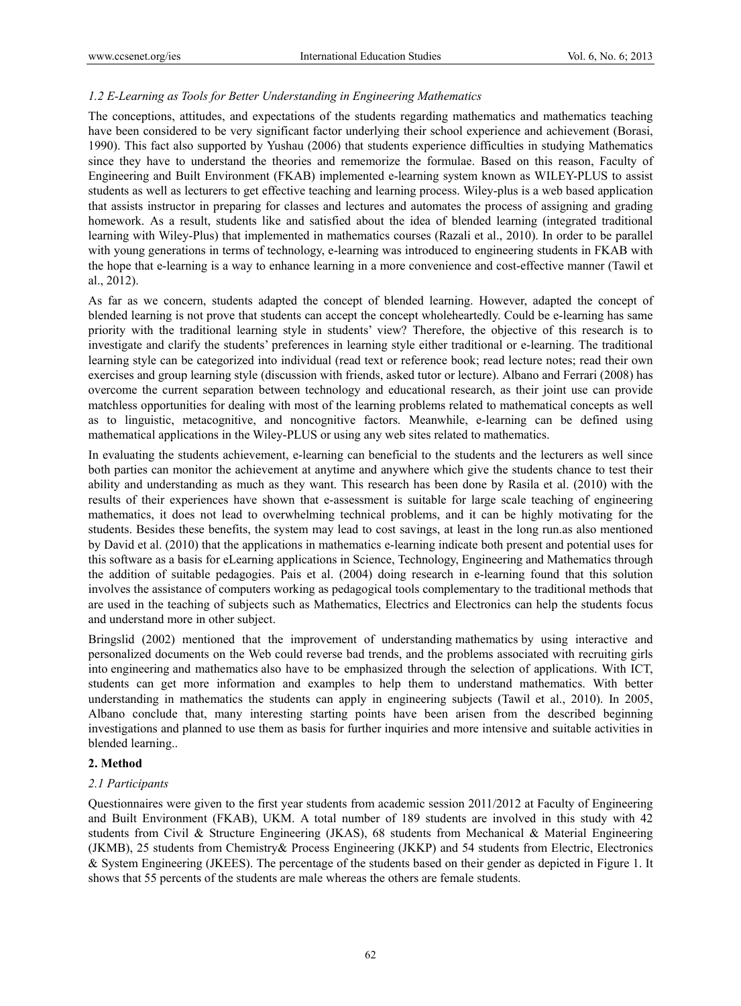# *1.2 E-Learning as Tools for Better Understanding in Engineering Mathematics*

The conceptions, attitudes, and expectations of the students regarding mathematics and mathematics teaching have been considered to be very significant factor underlying their school experience and achievement (Borasi, 1990). This fact also supported by Yushau (2006) that students experience difficulties in studying Mathematics since they have to understand the theories and rememorize the formulae. Based on this reason, Faculty of Engineering and Built Environment (FKAB) implemented e-learning system known as WILEY-PLUS to assist students as well as lecturers to get effective teaching and learning process. Wiley-plus is a web based application that assists instructor in preparing for classes and lectures and automates the process of assigning and grading homework. As a result, students like and satisfied about the idea of blended learning (integrated traditional learning with Wiley-Plus) that implemented in mathematics courses (Razali et al., 2010). In order to be parallel with young generations in terms of technology, e-learning was introduced to engineering students in FKAB with the hope that e-learning is a way to enhance learning in a more convenience and cost-effective manner (Tawil et al., 2012).

As far as we concern, students adapted the concept of blended learning. However, adapted the concept of blended learning is not prove that students can accept the concept wholeheartedly. Could be e-learning has same priority with the traditional learning style in students' view? Therefore, the objective of this research is to investigate and clarify the students' preferences in learning style either traditional or e-learning. The traditional learning style can be categorized into individual (read text or reference book; read lecture notes; read their own exercises and group learning style (discussion with friends, asked tutor or lecture). Albano and Ferrari (2008) has overcome the current separation between technology and educational research, as their joint use can provide matchless opportunities for dealing with most of the learning problems related to mathematical concepts as well as to linguistic, metacognitive, and noncognitive factors. Meanwhile, e-learning can be defined using mathematical applications in the Wiley-PLUS or using any web sites related to mathematics.

In evaluating the students achievement, e-learning can beneficial to the students and the lecturers as well since both parties can monitor the achievement at anytime and anywhere which give the students chance to test their ability and understanding as much as they want. This research has been done by Rasila et al. (2010) with the results of their experiences have shown that e-assessment is suitable for large scale teaching of engineering mathematics, it does not lead to overwhelming technical problems, and it can be highly motivating for the students. Besides these benefits, the system may lead to cost savings, at least in the long run.as also mentioned by David et al. (2010) that the applications in mathematics e-learning indicate both present and potential uses for this software as a basis for eLearning applications in Science, Technology, Engineering and Mathematics through the addition of suitable pedagogies. Pais et al. (2004) doing research in e-learning found that this solution involves the assistance of computers working as pedagogical tools complementary to the traditional methods that are used in the teaching of subjects such as Mathematics, Electrics and Electronics can help the students focus and understand more in other subject.

Bringslid (2002) mentioned that the improvement of understanding mathematics by using interactive and personalized documents on the Web could reverse bad trends, and the problems associated with recruiting girls into engineering and mathematics also have to be emphasized through the selection of applications. With ICT, students can get more information and examples to help them to understand mathematics. With better understanding in mathematics the students can apply in engineering subjects (Tawil et al., 2010). In 2005, Albano conclude that, many interesting starting points have been arisen from the described beginning investigations and planned to use them as basis for further inquiries and more intensive and suitable activities in blended learning..

# **2. Method**

# *2.1 Participants*

Questionnaires were given to the first year students from academic session 2011/2012 at Faculty of Engineering and Built Environment (FKAB), UKM. A total number of 189 students are involved in this study with 42 students from Civil & Structure Engineering (JKAS), 68 students from Mechanical & Material Engineering (JKMB), 25 students from Chemistry& Process Engineering (JKKP) and 54 students from Electric, Electronics & System Engineering (JKEES). The percentage of the students based on their gender as depicted in Figure 1. It shows that 55 percents of the students are male whereas the others are female students.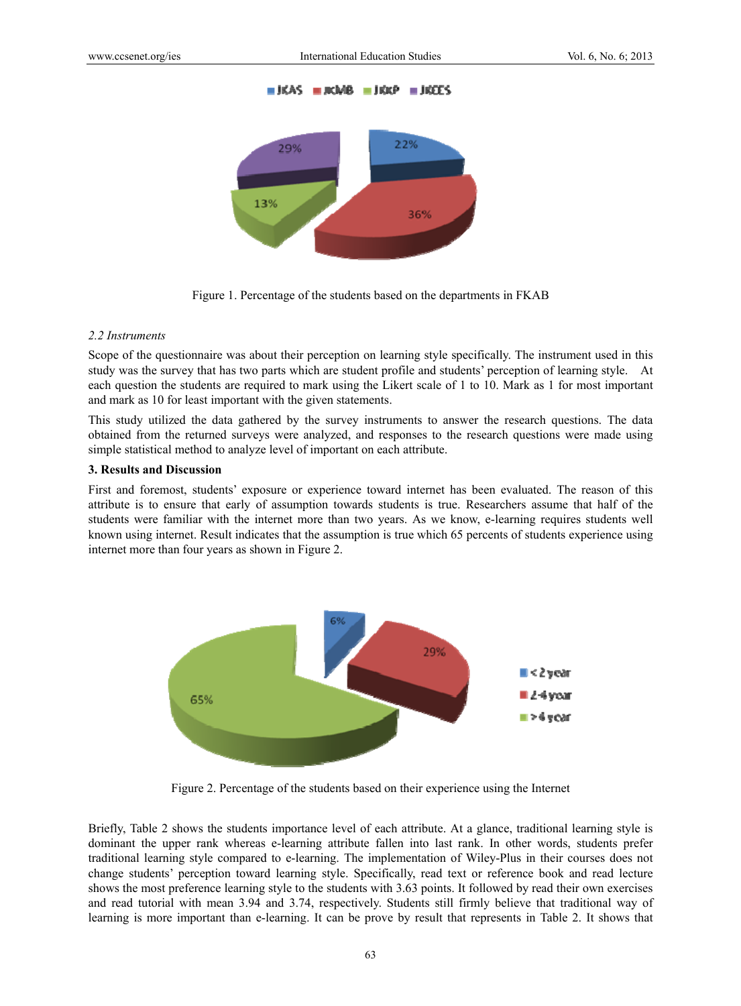



Figure 1. Percentage of the students based on the departments in FKAB

# *2.2 Instruments*

Scope of the questionnaire was about their perception on learning style specifically. The instrument used in this study was the survey that has two parts which are student profile and students' perception of learning style. At each question the students are required to mark using the Likert scale of 1 to 10. Mark as 1 for most important and mark as 10 for least important with the given statements.

This study utilized the data gathered by the survey instruments to answer the research questions. The data obtained from the returned surveys were analyzed, and responses to the research questions were made using simple statistical method to analyze level of important on each attribute.

#### **3. Results and Discussion**

First and foremost, students' exposure or experience toward internet has been evaluated. The reason of this attribute is to ensure that early of assumption towards students is true. Researchers assume that half of the students were familiar with the internet more than two years. As we know, e-learning requires students well known using internet. Result indicates that the assumption is true which 65 percents of students experience using internet more than four years as shown in Figure 2.



Figure 2. Percentage of the students based on their experience using the Internet

Briefly, Table 2 shows the students importance level of each attribute. At a glance, traditional learning style is dominant the upper rank whereas e-learning attribute fallen into last rank. In other words, students prefer traditional learning style compared to e-learning. The implementation of Wiley-Plus in their courses does not change students' perception toward learning style. Specifically, read text or reference book and read lecture shows the most preference learning style to the students with 3.63 points. It followed by read their own exercises and read tutorial with mean 3.94 and 3.74, respectively. Students still firmly believe that traditional way of learning is more important than e-learning. It can be prove by result that represents in Table 2. It shows that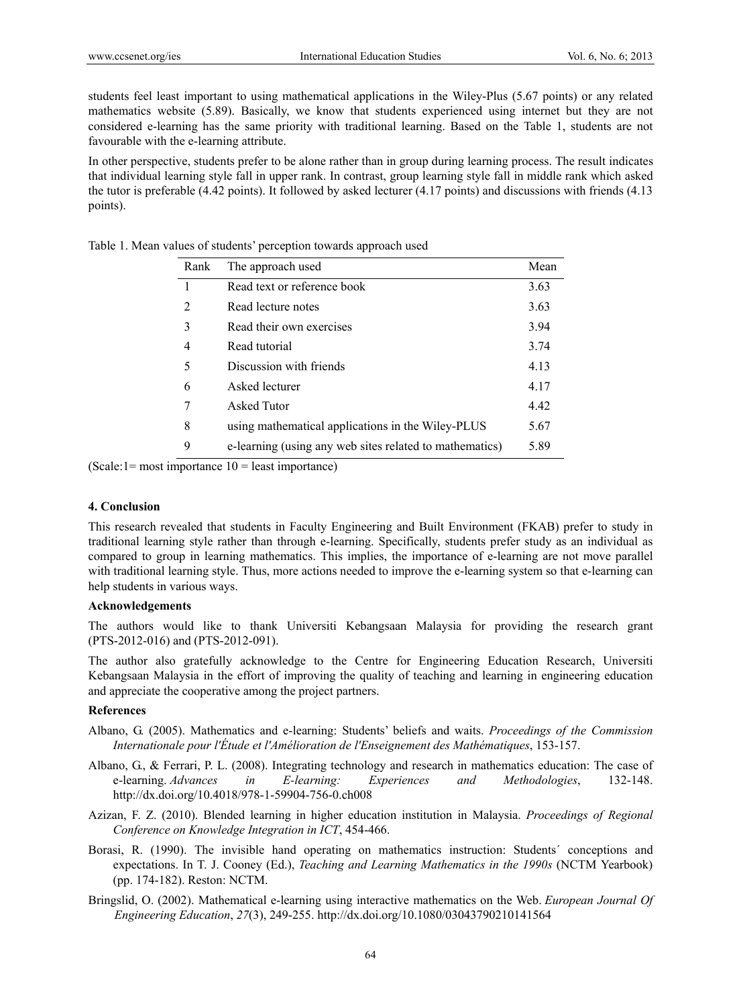students feel least important to using mathematical applications in the Wiley-Plus (5.67 points) or any related mathematics website (5.89). Basically, we know that students experienced using internet but they are not considered e-learning has the same priority with traditional learning. Based on the Table 1, students are not favourable with the e-learning attribute.

In other perspective, students prefer to be alone rather than in group during learning process. The result indicates that individual learning style fall in upper rank. In contrast, group learning style fall in middle rank which asked the tutor is preferable (4.42 points). It followed by asked lecturer (4.17 points) and discussions with friends (4.13 points).

| Rank | The approach used                                       | Mean |
|------|---------------------------------------------------------|------|
|      | Read text or reference book                             | 3.63 |
| 2    | Read lecture notes                                      | 3.63 |
| 3    | Read their own exercises                                | 3.94 |
| 4    | Read tutorial                                           | 3.74 |
| 5    | Discussion with friends                                 | 4.13 |
| 6    | Asked lecturer                                          | 4.17 |
| 7    | Asked Tutor                                             | 4.42 |
| 8    | using mathematical applications in the Wiley-PLUS       | 5.67 |
| 9    | e-learning (using any web sites related to mathematics) | 5.89 |

Table 1. Mean values of students' perception towards approach used

 $(Scale:1=most importance 10=least importance)$ 

#### **4. Conclusion**

This research revealed that students in Faculty Engineering and Built Environment (FKAB) prefer to study in traditional learning style rather than through e-learning. Specifically, students prefer study as an individual as compared to group in learning mathematics. This implies, the importance of e-learning are not move parallel with traditional learning style. Thus, more actions needed to improve the e-learning system so that e-learning can help students in various ways.

#### **Acknowledgements**

The authors would like to thank Universiti Kebangsaan Malaysia for providing the research grant (PTS-2012-016) and (PTS-2012-091).

The author also gratefully acknowledge to the Centre for Engineering Education Research, Universiti Kebangsaan Malaysia in the effort of improving the quality of teaching and learning in engineering education and appreciate the cooperative among the project partners.

# **References**

- Albano, G. (2005). Mathematics and e-learning: Students' beliefs and waits. *Proceedings of the Commission Internationale pour l'Étude et l'Amélioration de l'Enseignement des Mathématiques*, 153-157.
- Albano, G., & Ferrari, P. L. (2008). Integrating technology and research in mathematics education: The case of e-learning. *Advances in E-learning: Experiences and Methodologies*, 132-148. http://dx.doi.org/10.4018/978-1-59904-756-0.ch008
- Azizan, F. Z. (2010). Blended learning in higher education institution in Malaysia. *Proceedings of Regional Conference on Knowledge Integration in ICT*, 454-466.
- Borasi, R. (1990). The invisible hand operating on mathematics instruction: Students´ conceptions and expectations. In T. J. Cooney (Ed.), *Teaching and Learning Mathematics in the 1990s* (NCTM Yearbook) (pp. 174-182). Reston: NCTM.
- Bringslid, O. (2002). Mathematical e-learning using interactive mathematics on the Web. *European Journal Of Engineering Education*, *27*(3), 249-255. http://dx.doi.org/10.1080/03043790210141564